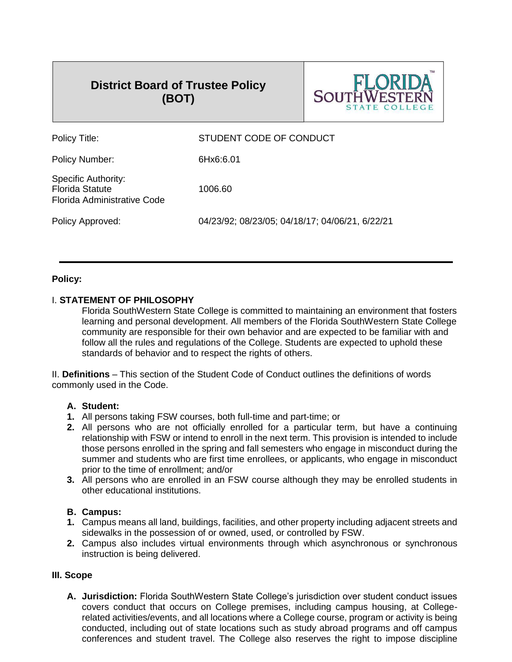# **District Board of Trustee Policy (BOT)**



| Policy Title:                                                                       | STUDENT CODE OF CONDUCT                         |
|-------------------------------------------------------------------------------------|-------------------------------------------------|
| Policy Number:                                                                      | 6Hx6:6.01                                       |
| <b>Specific Authority:</b><br><b>Florida Statute</b><br>Florida Administrative Code | 1006.60                                         |
| Policy Approved:                                                                    | 04/23/92; 08/23/05; 04/18/17; 04/06/21, 6/22/21 |
|                                                                                     |                                                 |

# **Policy:**

# I. **STATEMENT OF PHILOSOPHY**

Florida SouthWestern State College is committed to maintaining an environment that fosters learning and personal development. All members of the Florida SouthWestern State College community are responsible for their own behavior and are expected to be familiar with and follow all the rules and regulations of the College. Students are expected to uphold these standards of behavior and to respect the rights of others.

II. **Definitions** – This section of the Student Code of Conduct outlines the definitions of words commonly used in the Code.

# **A. Student:**

- **1.** All persons taking FSW courses, both full-time and part-time; or
- **2.** All persons who are not officially enrolled for a particular term, but have a continuing relationship with FSW or intend to enroll in the next term. This provision is intended to include those persons enrolled in the spring and fall semesters who engage in misconduct during the summer and students who are first time enrollees, or applicants, who engage in misconduct prior to the time of enrollment; and/or
- **3.** All persons who are enrolled in an FSW course although they may be enrolled students in other educational institutions.

# **B. Campus:**

- **1.** Campus means all land, buildings, facilities, and other property including adjacent streets and sidewalks in the possession of or owned, used, or controlled by FSW.
- **2.** Campus also includes virtual environments through which asynchronous or synchronous instruction is being delivered.

# **III. Scope**

**A. Jurisdiction:** Florida SouthWestern State College's jurisdiction over student conduct issues covers conduct that occurs on College premises, including campus housing, at Collegerelated activities/events, and all locations where a College course, program or activity is being conducted, including out of state locations such as study abroad programs and off campus conferences and student travel. The College also reserves the right to impose discipline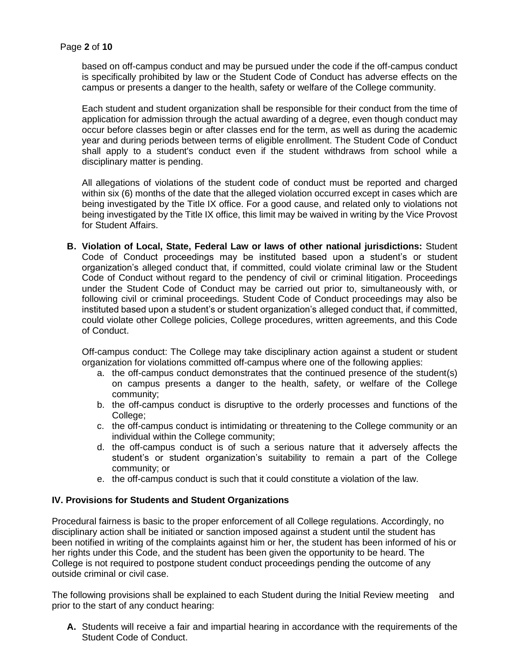based on off-campus conduct and may be pursued under the code if the off-campus conduct is specifically prohibited by law or the Student Code of Conduct has adverse effects on the campus or presents a danger to the health, safety or welfare of the College community.

Each student and student organization shall be responsible for their conduct from the time of application for admission through the actual awarding of a degree, even though conduct may occur before classes begin or after classes end for the term, as well as during the academic year and during periods between terms of eligible enrollment. The Student Code of Conduct shall apply to a student's conduct even if the student withdraws from school while a disciplinary matter is pending.

All allegations of violations of the student code of conduct must be reported and charged within six (6) months of the date that the alleged violation occurred except in cases which are being investigated by the Title IX office. For a good cause, and related only to violations not being investigated by the Title IX office, this limit may be waived in writing by the Vice Provost for Student Affairs.

**B. Violation of Local, State, Federal Law or laws of other national jurisdictions:** Student Code of Conduct proceedings may be instituted based upon a student's or student organization's alleged conduct that, if committed, could violate criminal law or the Student Code of Conduct without regard to the pendency of civil or criminal litigation. Proceedings under the Student Code of Conduct may be carried out prior to, simultaneously with, or following civil or criminal proceedings. Student Code of Conduct proceedings may also be instituted based upon a student's or student organization's alleged conduct that, if committed, could violate other College policies, College procedures, written agreements, and this Code of Conduct.

Off-campus conduct: The College may take disciplinary action against a student or student organization for violations committed off-campus where one of the following applies:

- a. the off-campus conduct demonstrates that the continued presence of the student(s) on campus presents a danger to the health, safety, or welfare of the College community;
- b. the off-campus conduct is disruptive to the orderly processes and functions of the College:
- c. the off-campus conduct is intimidating or threatening to the College community or an individual within the College community;
- d. the off-campus conduct is of such a serious nature that it adversely affects the student's or student organization's suitability to remain a part of the College community; or
- e. the off-campus conduct is such that it could constitute a violation of the law.

# **IV. Provisions for Students and Student Organizations**

Procedural fairness is basic to the proper enforcement of all College regulations. Accordingly, no disciplinary action shall be initiated or sanction imposed against a student until the student has been notified in writing of the complaints against him or her, the student has been informed of his or her rights under this Code, and the student has been given the opportunity to be heard. The College is not required to postpone student conduct proceedings pending the outcome of any outside criminal or civil case.

The following provisions shall be explained to each Student during the Initial Review meeting and prior to the start of any conduct hearing:

**A.** Students will receive a fair and impartial hearing in accordance with the requirements of the Student Code of Conduct.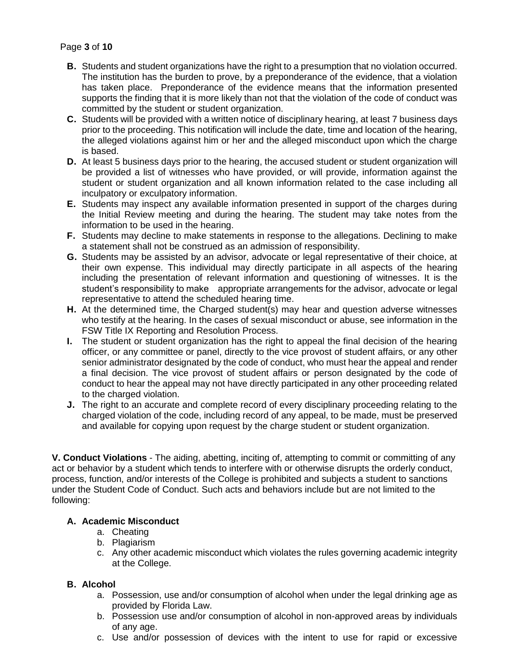# Page **3** of **10**

- **B.** Students and student organizations have the right to a presumption that no violation occurred. The institution has the burden to prove, by a preponderance of the evidence, that a violation has taken place. Preponderance of the evidence means that the information presented supports the finding that it is more likely than not that the violation of the code of conduct was committed by the student or student organization.
- **C.** Students will be provided with a written notice of disciplinary hearing, at least 7 business days prior to the proceeding. This notification will include the date, time and location of the hearing, the alleged violations against him or her and the alleged misconduct upon which the charge is based.
- **D.** At least 5 business days prior to the hearing, the accused student or student organization will be provided a list of witnesses who have provided, or will provide, information against the student or student organization and all known information related to the case including all inculpatory or exculpatory information.
- **E.** Students may inspect any available information presented in support of the charges during the Initial Review meeting and during the hearing. The student may take notes from the information to be used in the hearing.
- **F.** Students may decline to make statements in response to the allegations. Declining to make a statement shall not be construed as an admission of responsibility.
- **G.** Students may be assisted by an advisor, advocate or legal representative of their choice, at their own expense. This individual may directly participate in all aspects of the hearing including the presentation of relevant information and questioning of witnesses. It is the student's responsibility to make appropriate arrangements for the advisor, advocate or legal representative to attend the scheduled hearing time.
- **H.** At the determined time, the Charged student(s) may hear and question adverse witnesses who testify at the hearing. In the cases of sexual misconduct or abuse, see information in the FSW Title IX Reporting and Resolution Process.
- **I.** The student or student organization has the right to appeal the final decision of the hearing officer, or any committee or panel, directly to the vice provost of student affairs, or any other senior administrator designated by the code of conduct, who must hear the appeal and render a final decision. The vice provost of student affairs or person designated by the code of conduct to hear the appeal may not have directly participated in any other proceeding related to the charged violation.
- **J.** The right to an accurate and complete record of every disciplinary proceeding relating to the charged violation of the code, including record of any appeal, to be made, must be preserved and available for copying upon request by the charge student or student organization.

**V. Conduct Violations** - The aiding, abetting, inciting of, attempting to commit or committing of any act or behavior by a student which tends to interfere with or otherwise disrupts the orderly conduct, process, function, and/or interests of the College is prohibited and subjects a student to sanctions under the Student Code of Conduct. Such acts and behaviors include but are not limited to the following:

# **A. Academic Misconduct**

- a. Cheating
- b. Plagiarism
- c. Any other academic misconduct which violates the rules governing academic integrity at the College.

#### **B. Alcohol**

- a. Possession, use and/or consumption of alcohol when under the legal drinking age as provided by Florida Law.
- b. Possession use and/or consumption of alcohol in non-approved areas by individuals of any age.
- c. Use and/or possession of devices with the intent to use for rapid or excessive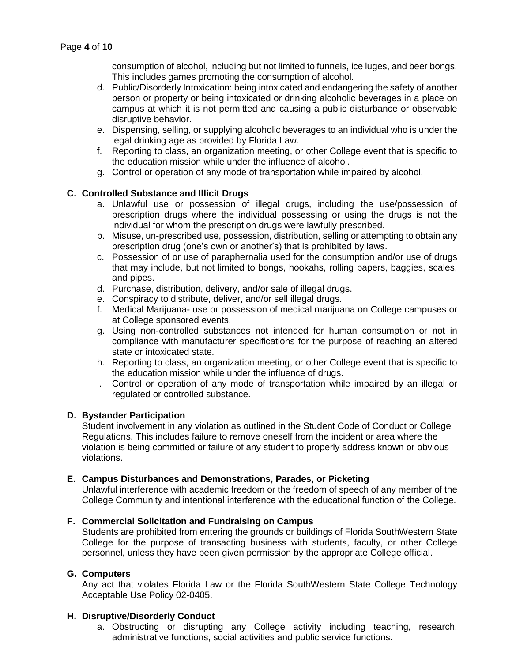consumption of alcohol, including but not limited to funnels, ice luges, and beer bongs. This includes games promoting the consumption of alcohol.

- d. Public/Disorderly Intoxication: being intoxicated and endangering the safety of another person or property or being intoxicated or drinking alcoholic beverages in a place on campus at which it is not permitted and causing a public disturbance or observable disruptive behavior.
- e. Dispensing, selling, or supplying alcoholic beverages to an individual who is under the legal drinking age as provided by Florida Law.
- f. Reporting to class, an organization meeting, or other College event that is specific to the education mission while under the influence of alcohol.
- g. Control or operation of any mode of transportation while impaired by alcohol.

# **C. Controlled Substance and Illicit Drugs**

- a. Unlawful use or possession of illegal drugs, including the use/possession of prescription drugs where the individual possessing or using the drugs is not the individual for whom the prescription drugs were lawfully prescribed.
- b. Misuse, un-prescribed use, possession, distribution, selling or attempting to obtain any prescription drug (one's own or another's) that is prohibited by laws.
- c. Possession of or use of paraphernalia used for the consumption and/or use of drugs that may include, but not limited to bongs, hookahs, rolling papers, baggies, scales, and pipes.
- d. Purchase, distribution, delivery, and/or sale of illegal drugs.
- e. Conspiracy to distribute, deliver, and/or sell illegal drugs.
- f. Medical Marijuana- use or possession of medical marijuana on College campuses or at College sponsored events.
- g. Using non-controlled substances not intended for human consumption or not in compliance with manufacturer specifications for the purpose of reaching an altered state or intoxicated state.
- h. Reporting to class, an organization meeting, or other College event that is specific to the education mission while under the influence of drugs.
- i. Control or operation of any mode of transportation while impaired by an illegal or regulated or controlled substance.

# **D. Bystander Participation**

Student involvement in any violation as outlined in the Student Code of Conduct or College Regulations. This includes failure to remove oneself from the incident or area where the violation is being committed or failure of any student to properly address known or obvious violations.

# **E. Campus Disturbances and Demonstrations, Parades, or Picketing**

Unlawful interference with academic freedom or the freedom of speech of any member of the College Community and intentional interference with the educational function of the College.

# **F. Commercial Solicitation and Fundraising on Campus**

Students are prohibited from entering the grounds or buildings of Florida SouthWestern State College for the purpose of transacting business with students, faculty, or other College personnel, unless they have been given permission by the appropriate College official.

# **G. Computers**

Any act that violates Florida Law or the Florida SouthWestern State College Technology Acceptable Use Policy 02-0405.

# **H. Disruptive/Disorderly Conduct**

a. Obstructing or disrupting any College activity including teaching, research, administrative functions, social activities and public service functions.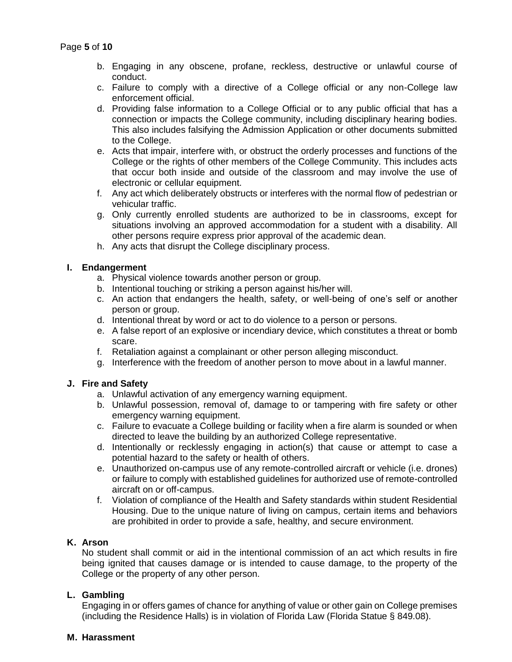- b. Engaging in any obscene, profane, reckless, destructive or unlawful course of conduct.
- c. Failure to comply with a directive of a College official or any non-College law enforcement official.
- d. Providing false information to a College Official or to any public official that has a connection or impacts the College community, including disciplinary hearing bodies. This also includes falsifying the Admission Application or other documents submitted to the College.
- e. Acts that impair, interfere with, or obstruct the orderly processes and functions of the College or the rights of other members of the College Community. This includes acts that occur both inside and outside of the classroom and may involve the use of electronic or cellular equipment.
- f. Any act which deliberately obstructs or interferes with the normal flow of pedestrian or vehicular traffic.
- g. Only currently enrolled students are authorized to be in classrooms, except for situations involving an approved accommodation for a student with a disability. All other persons require express prior approval of the academic dean.
- h. Any acts that disrupt the College disciplinary process.

#### **I. Endangerment**

- a. Physical violence towards another person or group.
- b. Intentional touching or striking a person against his/her will.
- c. An action that endangers the health, safety, or well-being of one's self or another person or group.
- d. Intentional threat by word or act to do violence to a person or persons.
- e. A false report of an explosive or incendiary device, which constitutes a threat or bomb scare.
- f. Retaliation against a complainant or other person alleging misconduct.
- g. Interference with the freedom of another person to move about in a lawful manner.

# **J. Fire and Safety**

- a. Unlawful activation of any emergency warning equipment.
- b. Unlawful possession, removal of, damage to or tampering with fire safety or other emergency warning equipment.
- c. Failure to evacuate a College building or facility when a fire alarm is sounded or when directed to leave the building by an authorized College representative.
- d. Intentionally or recklessly engaging in action(s) that cause or attempt to case a potential hazard to the safety or health of others.
- e. Unauthorized on-campus use of any remote-controlled aircraft or vehicle (i.e. drones) or failure to comply with established guidelines for authorized use of remote-controlled aircraft on or off-campus.
- f. Violation of compliance of the Health and Safety standards within student Residential Housing. Due to the unique nature of living on campus, certain items and behaviors are prohibited in order to provide a safe, healthy, and secure environment.

# **K. Arson**

No student shall commit or aid in the intentional commission of an act which results in fire being ignited that causes damage or is intended to cause damage, to the property of the College or the property of any other person.

# **L. Gambling**

Engaging in or offers games of chance for anything of value or other gain on College premises (including the Residence Halls) is in violation of Florida Law (Florida Statue § 849.08).

#### **M. Harassment**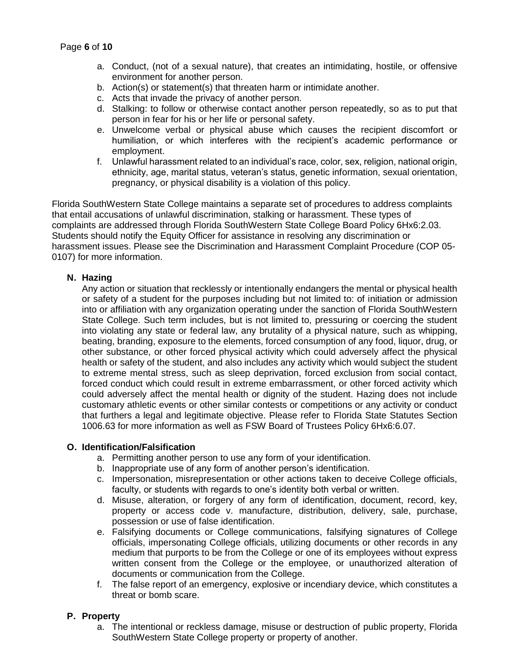- a. Conduct, (not of a sexual nature), that creates an intimidating, hostile, or offensive environment for another person.
- b. Action(s) or statement(s) that threaten harm or intimidate another.
- c. Acts that invade the privacy of another person.
- d. Stalking: to follow or otherwise contact another person repeatedly, so as to put that person in fear for his or her life or personal safety.
- e. Unwelcome verbal or physical abuse which causes the recipient discomfort or humiliation, or which interferes with the recipient's academic performance or employment.
- f. Unlawful harassment related to an individual's race, color, sex, religion, national origin, ethnicity, age, marital status, veteran's status, genetic information, sexual orientation, pregnancy, or physical disability is a violation of this policy.

Florida SouthWestern State College maintains a separate set of procedures to address complaints that entail accusations of unlawful discrimination, stalking or harassment. These types of complaints are addressed through Florida SouthWestern State College Board Policy 6Hx6:2.03. Students should notify the Equity Officer for assistance in resolving any discrimination or harassment issues. Please see the Discrimination and Harassment Complaint Procedure (COP 05- 0107) for more information.

#### **N. Hazing**

Any action or situation that recklessly or intentionally endangers the mental or physical health or safety of a student for the purposes including but not limited to: of initiation or admission into or affiliation with any organization operating under the sanction of Florida SouthWestern State College. Such term includes, but is not limited to, pressuring or coercing the student into violating any state or federal law, any brutality of a physical nature, such as whipping, beating, branding, exposure to the elements, forced consumption of any food, liquor, drug, or other substance, or other forced physical activity which could adversely affect the physical health or safety of the student, and also includes any activity which would subject the student to extreme mental stress, such as sleep deprivation, forced exclusion from social contact, forced conduct which could result in extreme embarrassment, or other forced activity which could adversely affect the mental health or dignity of the student. Hazing does not include customary athletic events or other similar contests or competitions or any activity or conduct that furthers a legal and legitimate objective. Please refer to Florida State Statutes Section 1006.63 for more information as well as FSW Board of Trustees Policy 6Hx6:6.07.

# **O. Identification/Falsification**

- a. Permitting another person to use any form of your identification.
- b. Inappropriate use of any form of another person's identification.
- c. Impersonation, misrepresentation or other actions taken to deceive College officials, faculty, or students with regards to one's identity both verbal or written.
- d. Misuse, alteration, or forgery of any form of identification, document, record, key, property or access code v. manufacture, distribution, delivery, sale, purchase, possession or use of false identification.
- e. Falsifying documents or College communications, falsifying signatures of College officials, impersonating College officials, utilizing documents or other records in any medium that purports to be from the College or one of its employees without express written consent from the College or the employee, or unauthorized alteration of documents or communication from the College.
- f. The false report of an emergency, explosive or incendiary device, which constitutes a threat or bomb scare.

# **P. Property**

a. The intentional or reckless damage, misuse or destruction of public property, Florida SouthWestern State College property or property of another.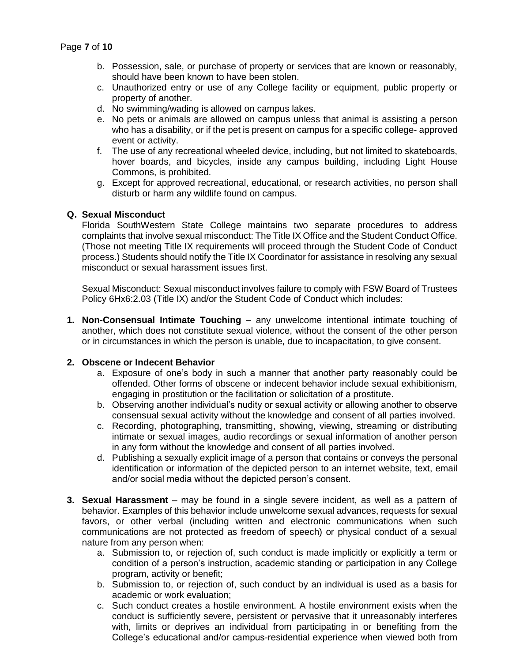- b. Possession, sale, or purchase of property or services that are known or reasonably, should have been known to have been stolen.
- c. Unauthorized entry or use of any College facility or equipment, public property or property of another.
- d. No swimming/wading is allowed on campus lakes.
- e. No pets or animals are allowed on campus unless that animal is assisting a person who has a disability, or if the pet is present on campus for a specific college- approved event or activity.
- f. The use of any recreational wheeled device, including, but not limited to skateboards, hover boards, and bicycles, inside any campus building, including Light House Commons, is prohibited.
- g. Except for approved recreational, educational, or research activities, no person shall disturb or harm any wildlife found on campus.

#### **Q. Sexual Misconduct**

Florida SouthWestern State College maintains two separate procedures to address complaints that involve sexual misconduct: The Title IX Office and the Student Conduct Office. (Those not meeting Title IX requirements will proceed through the Student Code of Conduct process.) Students should notify the Title IX Coordinator for assistance in resolving any sexual misconduct or sexual harassment issues first.

Sexual Misconduct: Sexual misconduct involves failure to comply with FSW Board of Trustees Policy 6Hx6:2.03 (Title IX) and/or the Student Code of Conduct which includes:

**1. Non-Consensual Intimate Touching** – any unwelcome intentional intimate touching of another, which does not constitute sexual violence, without the consent of the other person or in circumstances in which the person is unable, due to incapacitation, to give consent.

#### **2. Obscene or Indecent Behavior**

- a. Exposure of one's body in such a manner that another party reasonably could be offended. Other forms of obscene or indecent behavior include sexual exhibitionism, engaging in prostitution or the facilitation or solicitation of a prostitute.
- b. Observing another individual's nudity or sexual activity or allowing another to observe consensual sexual activity without the knowledge and consent of all parties involved.
- c. Recording, photographing, transmitting, showing, viewing, streaming or distributing intimate or sexual images, audio recordings or sexual information of another person in any form without the knowledge and consent of all parties involved.
- d. Publishing a sexually explicit image of a person that contains or conveys the personal identification or information of the depicted person to an internet website, text, email and/or social media without the depicted person's consent.
- **3. Sexual Harassment** may be found in a single severe incident, as well as a pattern of behavior. Examples of this behavior include unwelcome sexual advances, requests for sexual favors, or other verbal (including written and electronic communications when such communications are not protected as freedom of speech) or physical conduct of a sexual nature from any person when:
	- a. Submission to, or rejection of, such conduct is made implicitly or explicitly a term or condition of a person's instruction, academic standing or participation in any College program, activity or benefit;
	- b. Submission to, or rejection of, such conduct by an individual is used as a basis for academic or work evaluation;
	- c. Such conduct creates a hostile environment. A hostile environment exists when the conduct is sufficiently severe, persistent or pervasive that it unreasonably interferes with, limits or deprives an individual from participating in or benefiting from the College's educational and/or campus-residential experience when viewed both from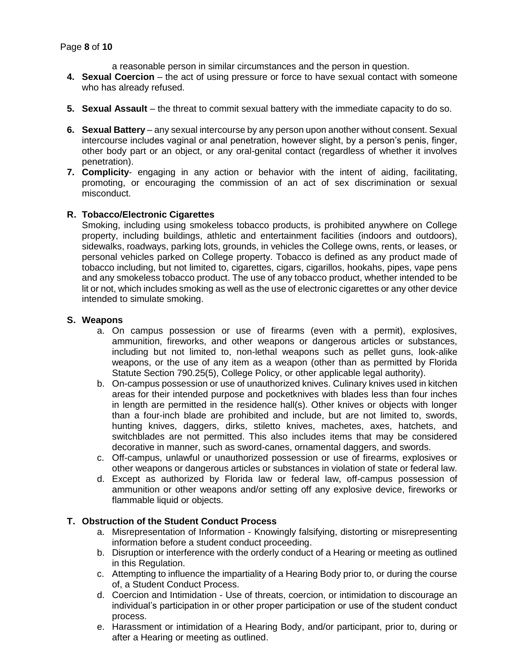- a reasonable person in similar circumstances and the person in question.
- **4. Sexual Coercion** the act of using pressure or force to have sexual contact with someone who has already refused.
- **5. Sexual Assault** the threat to commit sexual battery with the immediate capacity to do so.
- **6. Sexual Battery** any sexual intercourse by any person upon another without consent. Sexual intercourse includes vaginal or anal penetration, however slight, by a person's penis, finger, other body part or an object, or any oral-genital contact (regardless of whether it involves penetration).
- **7. Complicity** engaging in any action or behavior with the intent of aiding, facilitating, promoting, or encouraging the commission of an act of sex discrimination or sexual misconduct.

#### **R. Tobacco/Electronic Cigarettes**

Smoking, including using smokeless tobacco products, is prohibited anywhere on College property, including buildings, athletic and entertainment facilities (indoors and outdoors), sidewalks, roadways, parking lots, grounds, in vehicles the College owns, rents, or leases, or personal vehicles parked on College property. Tobacco is defined as any product made of tobacco including, but not limited to, cigarettes, cigars, cigarillos, hookahs, pipes, vape pens and any smokeless tobacco product. The use of any tobacco product, whether intended to be lit or not, which includes smoking as well as the use of electronic cigarettes or any other device intended to simulate smoking.

#### **S. Weapons**

- a. On campus possession or use of firearms (even with a permit), explosives, ammunition, fireworks, and other weapons or dangerous articles or substances, including but not limited to, non-lethal weapons such as pellet guns, look-alike weapons, or the use of any item as a weapon (other than as permitted by Florida Statute Section 790.25(5), College Policy, or other applicable legal authority).
- b. On-campus possession or use of unauthorized knives. Culinary knives used in kitchen areas for their intended purpose and pocketknives with blades less than four inches in length are permitted in the residence hall(s). Other knives or objects with longer than a four-inch blade are prohibited and include, but are not limited to, swords, hunting knives, daggers, dirks, stiletto knives, machetes, axes, hatchets, and switchblades are not permitted. This also includes items that may be considered decorative in manner, such as sword-canes, ornamental daggers, and swords.
- c. Off-campus, unlawful or unauthorized possession or use of firearms, explosives or other weapons or dangerous articles or substances in violation of state or federal law.
- d. Except as authorized by Florida law or federal law, off-campus possession of ammunition or other weapons and/or setting off any explosive device, fireworks or flammable liquid or objects.

# **T. Obstruction of the Student Conduct Process**

- a. Misrepresentation of Information Knowingly falsifying, distorting or misrepresenting information before a student conduct proceeding.
- b. Disruption or interference with the orderly conduct of a Hearing or meeting as outlined in this Regulation.
- c. Attempting to influence the impartiality of a Hearing Body prior to, or during the course of, a Student Conduct Process.
- d. Coercion and Intimidation Use of threats, coercion, or intimidation to discourage an individual's participation in or other proper participation or use of the student conduct process.
- e. Harassment or intimidation of a Hearing Body, and/or participant, prior to, during or after a Hearing or meeting as outlined.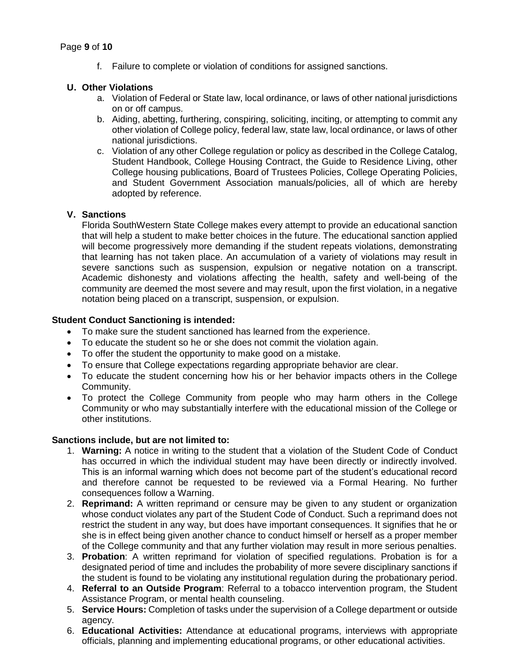f. Failure to complete or violation of conditions for assigned sanctions.

# **U. Other Violations**

- a. Violation of Federal or State law, local ordinance, or laws of other national jurisdictions on or off campus.
- b. Aiding, abetting, furthering, conspiring, soliciting, inciting, or attempting to commit any other violation of College policy, federal law, state law, local ordinance, or laws of other national jurisdictions.
- c. Violation of any other College regulation or policy as described in the College Catalog, Student Handbook, College Housing Contract, the Guide to Residence Living, other College housing publications, Board of Trustees Policies, College Operating Policies, and Student Government Association manuals/policies, all of which are hereby adopted by reference.

# **V. Sanctions**

Florida SouthWestern State College makes every attempt to provide an educational sanction that will help a student to make better choices in the future. The educational sanction applied will become progressively more demanding if the student repeats violations, demonstrating that learning has not taken place. An accumulation of a variety of violations may result in severe sanctions such as suspension, expulsion or negative notation on a transcript. Academic dishonesty and violations affecting the health, safety and well-being of the community are deemed the most severe and may result, upon the first violation, in a negative notation being placed on a transcript, suspension, or expulsion.

#### **Student Conduct Sanctioning is intended:**

- To make sure the student sanctioned has learned from the experience.
- To educate the student so he or she does not commit the violation again.
- To offer the student the opportunity to make good on a mistake.
- To ensure that College expectations regarding appropriate behavior are clear.
- To educate the student concerning how his or her behavior impacts others in the College Community.
- To protect the College Community from people who may harm others in the College Community or who may substantially interfere with the educational mission of the College or other institutions.

# **Sanctions include, but are not limited to:**

- 1. **Warning:** A notice in writing to the student that a violation of the Student Code of Conduct has occurred in which the individual student may have been directly or indirectly involved. This is an informal warning which does not become part of the student's educational record and therefore cannot be requested to be reviewed via a Formal Hearing. No further consequences follow a Warning.
- 2. **Reprimand:** A written reprimand or censure may be given to any student or organization whose conduct violates any part of the Student Code of Conduct. Such a reprimand does not restrict the student in any way, but does have important consequences. It signifies that he or she is in effect being given another chance to conduct himself or herself as a proper member of the College community and that any further violation may result in more serious penalties.
- 3. **Probation**: A written reprimand for violation of specified regulations. Probation is for a designated period of time and includes the probability of more severe disciplinary sanctions if the student is found to be violating any institutional regulation during the probationary period.
- 4. **Referral to an Outside Program**: Referral to a tobacco intervention program, the Student Assistance Program, or mental health counseling.
- 5. **Service Hours:** Completion of tasks under the supervision of a College department or outside agency.
- 6. **Educational Activities:** Attendance at educational programs, interviews with appropriate officials, planning and implementing educational programs, or other educational activities.